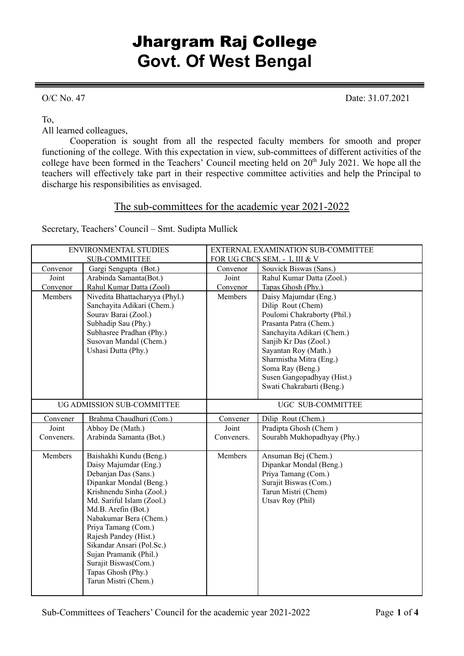## Jhargram Raj College **Govt. Of West Bengal**

O/C No. 47 Date: 31.07.2021

To,

All learned colleagues,

Cooperation is sought from all the respected faculty members for smooth and proper functioning of the college. With this expectation in view, sub-committees of different activities of the college have been formed in the Teachers' Council meeting held on 20<sup>th</sup> July 2021. We hope all the teachers will effectively take part in their respective committee activities and help the Principal to discharge his responsibilities as envisaged.

## The sub-committees for the academic year 2021-2022

Secretary, Teachers' Council – Smt. Sudipta Mullick

| <b>ENVIRONMENTAL STUDIES</b> |                                | EXTERNAL EXAMINATION SUB-COMMITTEE |                             |  |
|------------------------------|--------------------------------|------------------------------------|-----------------------------|--|
| <b>SUB-COMMITTEE</b>         |                                | FOR UG CBCS SEM. - I, III & V      |                             |  |
| Convenor                     | Gargi Sengupta (Bot.)          | Convenor                           | Souvick Biswas (Sans.)      |  |
| Joint                        | Arabinda Samanta(Bot.)         | Joint                              | Rahul Kumar Datta (Zool.)   |  |
| Convenor                     | Rahul Kumar Datta (Zool)       | Convenor                           | Tapas Ghosh (Phy.)          |  |
| Members                      | Nivedita Bhattacharyya (Phyl.) | Members                            | Daisy Majumdar (Eng.)       |  |
|                              | Sanchayita Adikari (Chem.)     |                                    | Dilip Rout (Chem)           |  |
|                              | Sourav Barai (Zool.)           |                                    | Poulomi Chakraborty (Phil.) |  |
|                              | Subhadip Sau (Phy.)            |                                    | Prasanta Patra (Chem.)      |  |
|                              | Subhasree Pradhan (Phy.)       |                                    | Sanchayita Adikari (Chem.)  |  |
|                              | Susovan Mandal (Chem.)         |                                    | Sanjib Kr Das (Zool.)       |  |
|                              | Ushasi Dutta (Phy.)            |                                    | Sayantan Roy (Math.)        |  |
|                              |                                |                                    | Sharmistha Mitra (Eng.)     |  |
|                              |                                |                                    | Soma Ray (Beng.)            |  |
|                              |                                |                                    | Susen Gangopadhyay (Hist.)  |  |
|                              |                                |                                    | Swati Chakrabarti (Beng.)   |  |
|                              | UG ADMISSION SUB-COMMITTEE     | UGC SUB-COMMITTEE                  |                             |  |
|                              |                                |                                    |                             |  |
| Convener                     | Brahma Chaudhuri (Com.)        | Convener                           | Dilip Rout (Chem.)          |  |
| Joint                        | Abhoy De (Math.)               | Joint                              | Pradipta Ghosh (Chem)       |  |
| Conveners.                   | Arabinda Samanta (Bot.)        | Conveners.                         | Sourabh Mukhopadhyay (Phy.) |  |
| Members                      | Baishakhi Kundu (Beng.)        | Members                            | Ansuman Bej (Chem.)         |  |
|                              | Daisy Majumdar (Eng.)          |                                    | Dipankar Mondal (Beng.)     |  |
|                              | Debanjan Das (Sans.)           |                                    | Priya Tamang (Com.)         |  |
|                              | Dipankar Mondal (Beng.)        |                                    | Surajit Biswas (Com.)       |  |
|                              | Krishnendu Sinha (Zool.)       |                                    | Tarun Mistri (Chem)         |  |
|                              | Md. Sariful Islam (Zool.)      |                                    | Utsav Roy (Phil)            |  |
|                              | Md.B. Arefin (Bot.)            |                                    |                             |  |
|                              | Nabakumar Bera (Chem.)         |                                    |                             |  |
|                              | Priya Tamang (Com.)            |                                    |                             |  |
|                              | Rajesh Pandey (Hist.)          |                                    |                             |  |
|                              | Sikandar Ansari (Pol.Sc.)      |                                    |                             |  |
|                              | Sujan Pramanik (Phil.)         |                                    |                             |  |
|                              | Surajit Biswas(Com.)           |                                    |                             |  |
|                              | Tapas Ghosh (Phy.)             |                                    |                             |  |
|                              | Tarun Mistri (Chem.)           |                                    |                             |  |
|                              |                                |                                    |                             |  |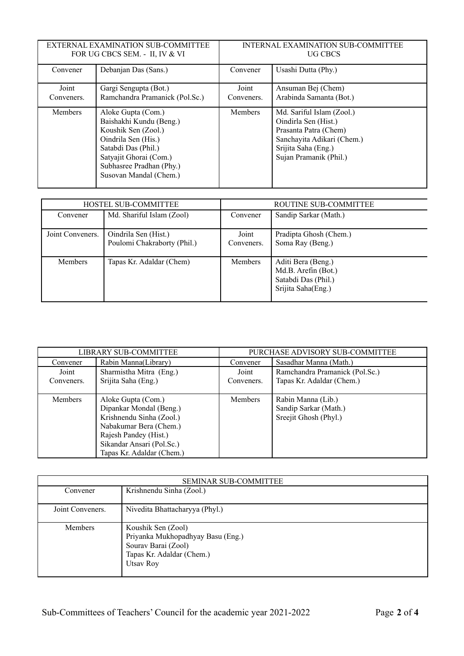| EXTERNAL EXAMINATION SUB-COMMITTEE<br>FOR UG CBCS SEM. - II, IV & VI |                                                                                                                                                                                                    | INTERNAL EXAMINATION SUB-COMMITTEE<br>UG CBCS |                                                                                                                                                           |
|----------------------------------------------------------------------|----------------------------------------------------------------------------------------------------------------------------------------------------------------------------------------------------|-----------------------------------------------|-----------------------------------------------------------------------------------------------------------------------------------------------------------|
| Convener                                                             | Debanjan Das (Sans.)                                                                                                                                                                               | Convener                                      | Usashi Dutta (Phy.)                                                                                                                                       |
| Joint                                                                | Gargi Sengupta (Bot.)                                                                                                                                                                              | Joint                                         | Ansuman Bej (Chem)                                                                                                                                        |
| Conveners.                                                           | Ramchandra Pramanick (Pol.Sc.)                                                                                                                                                                     | Conveners.                                    | Arabinda Samanta (Bot.)                                                                                                                                   |
| <b>Members</b>                                                       | Aloke Gupta (Com.)<br>Baishakhi Kundu (Beng.)<br>Koushik Sen (Zool.)<br>Oindrila Sen (His.)<br>Satabdi Das (Phil.)<br>Satyajit Ghorai (Com.)<br>Subhasree Pradhan (Phy.)<br>Susovan Mandal (Chem.) | <b>Members</b>                                | Md. Sariful Islam (Zool.)<br>Oindirla Sen (Hist.)<br>Prasanta Patra (Chem)<br>Sanchayita Adikari (Chem.)<br>Srijita Saha (Eng.)<br>Sujan Pramanik (Phil.) |

| HOSTEL SUB-COMMITTEE |                                                     | ROUTINE SUB-COMMITTEE |                                                                                        |
|----------------------|-----------------------------------------------------|-----------------------|----------------------------------------------------------------------------------------|
| Convener             | Md. Shariful Islam (Zool)                           | Convener              | Sandip Sarkar (Math.)                                                                  |
| Joint Conveners.     | Oindrila Sen (Hist.)<br>Poulomi Chakraborty (Phil.) | Joint<br>Conveners.   | Pradipta Ghosh (Chem.)<br>Soma Ray (Beng.)                                             |
| <b>Members</b>       | Tapas Kr. Adaldar (Chem)                            | <b>Members</b>        | Aditi Bera (Beng.)<br>Md.B. Arefin (Bot.)<br>Satabdi Das (Phil.)<br>Srijita Saha(Eng.) |

| LIBRARY SUB-COMMITTEE |                           | PURCHASE ADVISORY SUB-COMMITTEE |                                |
|-----------------------|---------------------------|---------------------------------|--------------------------------|
| Convener              | Rabin Manna(Library)      | Convener                        | Sasadhar Manna (Math.)         |
| Joint                 | Sharmistha Mitra (Eng.)   | Joint                           | Ramchandra Pramanick (Pol.Sc.) |
| Conveners.            | Srijita Saha (Eng.)       | Conveners.                      | Tapas Kr. Adaldar (Chem.)      |
|                       |                           |                                 |                                |
| <b>Members</b>        | Aloke Gupta (Com.)        | Members                         | Rabin Manna (Lib.)             |
|                       | Dipankar Mondal (Beng.)   |                                 | Sandip Sarkar (Math.)          |
|                       | Krishnendu Sinha (Zool.)  |                                 | Sreejit Ghosh (Phyl.)          |
|                       | Nabakumar Bera (Chem.)    |                                 |                                |
|                       | Rajesh Pandey (Hist.)     |                                 |                                |
|                       | Sikandar Ansari (Pol.Sc.) |                                 |                                |
|                       | Tapas Kr. Adaldar (Chem.) |                                 |                                |

| <b>SEMINAR SUB-COMMITTEE</b> |                                                                                                                          |  |
|------------------------------|--------------------------------------------------------------------------------------------------------------------------|--|
| Convener                     | Krishnendu Sinha (Zool.)                                                                                                 |  |
| Joint Conveners.             | Nivedita Bhattacharyya (Phyl.)                                                                                           |  |
| <b>Members</b>               | Koushik Sen (Zool)<br>Priyanka Mukhopadhyay Basu (Eng.)<br>Sourav Barai (Zool)<br>Tapas Kr. Adaldar (Chem.)<br>Utsay Roy |  |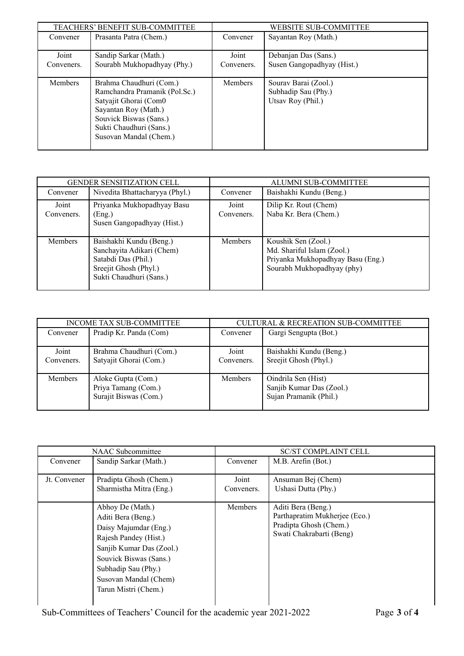| TEACHERS' BENEFIT SUB-COMMITTEE |                               | <b>WEBSITE SUB-COMMITTEE</b> |                            |
|---------------------------------|-------------------------------|------------------------------|----------------------------|
| Convener                        | Prasanta Patra (Chem.)        | Convener                     | Sayantan Roy (Math.)       |
|                                 |                               |                              |                            |
| Joint                           | Sandip Sarkar (Math.)         | Joint                        | Debanjan Das (Sans.)       |
| Conveners.                      | Sourabh Mukhopadhyay (Phy.)   | Conveners.                   | Susen Gangopadhyay (Hist.) |
|                                 |                               |                              |                            |
| <b>Members</b>                  | Brahma Chaudhuri (Com.)       | <b>Members</b>               | Sourav Barai (Zool.)       |
|                                 | Ramchandra Pramanik (Pol.Sc.) |                              | Subhadip Sau (Phy.)        |
|                                 | Satyajit Ghorai (Com0         |                              | Utsav Roy (Phil.)          |
|                                 | Sayantan Roy (Math.)          |                              |                            |
|                                 | Souvick Biswas (Sans.)        |                              |                            |
|                                 | Sukti Chaudhuri (Sans.)       |                              |                            |
|                                 | Susovan Mandal (Chem.)        |                              |                            |
|                                 |                               |                              |                            |

|                     | <b>GENDER SENSITIZATION CELL</b>                                                                                                |                     | <b>ALUMNI SUB-COMMITTEE</b>                                                                                          |
|---------------------|---------------------------------------------------------------------------------------------------------------------------------|---------------------|----------------------------------------------------------------------------------------------------------------------|
| Convener            | Nivedita Bhattacharyya (Phyl.)                                                                                                  | Convener            | Baishakhi Kundu (Beng.)                                                                                              |
| Joint<br>Conveners. | Priyanka Mukhopadhyay Basu<br>(Eng.)<br>Susen Gangopadhyay (Hist.)                                                              | Joint<br>Conveners. | Dilip Kr. Rout (Chem)<br>Naba Kr. Bera (Chem.)                                                                       |
| Members             | Baishakhi Kundu (Beng.)<br>Sanchayita Adikari (Chem)<br>Satabdi Das (Phil.)<br>Sreejit Ghosh (Phyl.)<br>Sukti Chaudhuri (Sans.) | <b>Members</b>      | Koushik Sen (Zool.)<br>Md. Shariful Islam (Zool.)<br>Priyanka Mukhopadhyay Basu (Eng.)<br>Sourabh Mukhopadhyay (phy) |

| INCOME TAX SUB-COMMITTEE |                                                                    | <b>CULTURAL &amp; RECREATION SUB-COMMITTEE</b> |                                                                           |
|--------------------------|--------------------------------------------------------------------|------------------------------------------------|---------------------------------------------------------------------------|
| Convener                 | Pradip Kr. Panda (Com)                                             | Convener                                       | Gargi Sengupta (Bot.)                                                     |
| Joint                    | Brahma Chaudhuri (Com.)                                            | Joint                                          | Baishakhi Kundu (Beng.)                                                   |
| Conveners.               | Satyajit Ghorai (Com.)                                             | Conveners.                                     | Sreejit Ghosh (Phyl.)                                                     |
| <b>Members</b>           | Aloke Gupta (Com.)<br>Priya Tamang (Com.)<br>Surajit Biswas (Com.) | <b>Members</b>                                 | Oindrila Sen (Hist)<br>Sanjib Kumar Das (Zool.)<br>Sujan Pramanik (Phil.) |

| <b>NAAC</b> Subcommittee |                                                                                                                                                                                                                        | <b>SC/ST COMPLAINT CELL</b> |                                                                                                           |
|--------------------------|------------------------------------------------------------------------------------------------------------------------------------------------------------------------------------------------------------------------|-----------------------------|-----------------------------------------------------------------------------------------------------------|
| Convener                 | Sandip Sarkar (Math.)                                                                                                                                                                                                  | Convener                    | M.B. Arefin (Bot.)                                                                                        |
| Jt. Convener             | Pradipta Ghosh (Chem.)<br>Sharmistha Mitra (Eng.)                                                                                                                                                                      | Joint<br>Conveners.         | Ansuman Bej (Chem)<br>Ushasi Dutta (Phy.)                                                                 |
|                          | Abhoy De (Math.)<br>Aditi Bera (Beng.)<br>Daisy Majumdar (Eng.)<br>Rajesh Pandey (Hist.)<br>Sanjib Kumar Das (Zool.)<br>Souvick Biswas (Sans.)<br>Subhadip Sau (Phy.)<br>Susovan Mandal (Chem)<br>Tarun Mistri (Chem.) | <b>Members</b>              | Aditi Bera (Beng.)<br>Parthapratim Mukherjee (Eco.)<br>Pradipta Ghosh (Chem.)<br>Swati Chakrabarti (Beng) |

Sub-Committees of Teachers' Council for the academic year 2021-2022 Page **3** of **4**